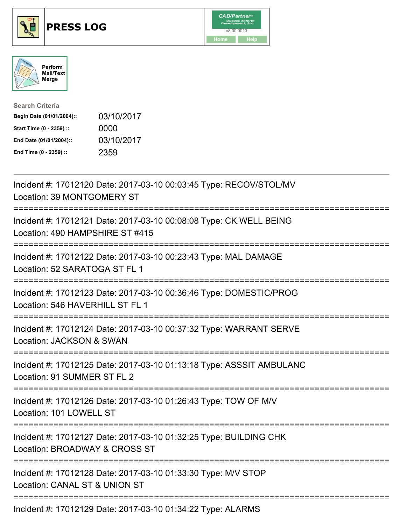





| <b>Search Criteria</b>    |            |
|---------------------------|------------|
| Begin Date (01/01/2004):: | 03/10/2017 |
| Start Time (0 - 2359) ::  | 0000       |
| End Date (01/01/2004)::   | 03/10/2017 |
| End Time (0 - 2359) ::    | 2359       |

| Incident #: 17012120 Date: 2017-03-10 00:03:45 Type: RECOV/STOL/MV<br>Location: 39 MONTGOMERY ST                              |
|-------------------------------------------------------------------------------------------------------------------------------|
| Incident #: 17012121 Date: 2017-03-10 00:08:08 Type: CK WELL BEING<br>Location: 490 HAMPSHIRE ST #415<br>---------            |
| Incident #: 17012122 Date: 2017-03-10 00:23:43 Type: MAL DAMAGE<br>Location: 52 SARATOGA ST FL 1<br>----------------          |
| Incident #: 17012123 Date: 2017-03-10 00:36:46 Type: DOMESTIC/PROG<br>Location: 546 HAVERHILL ST FL 1<br>------------         |
| Incident #: 17012124 Date: 2017-03-10 00:37:32 Type: WARRANT SERVE<br>Location: JACKSON & SWAN                                |
| Incident #: 17012125 Date: 2017-03-10 01:13:18 Type: ASSSIT AMBULANC<br>Location: 91 SUMMER ST FL 2<br>====================== |
| Incident #: 17012126 Date: 2017-03-10 01:26:43 Type: TOW OF M/V<br>Location: 101 LOWELL ST                                    |
| Incident #: 17012127 Date: 2017-03-10 01:32:25 Type: BUILDING CHK<br>Location: BROADWAY & CROSS ST<br>.---------------------- |
| Incident #: 17012128 Date: 2017-03-10 01:33:30 Type: M/V STOP<br>Location: CANAL ST & UNION ST                                |
| Incident #: 17012129 Date: 2017-03-10 01:34:22 Type: ALARMS                                                                   |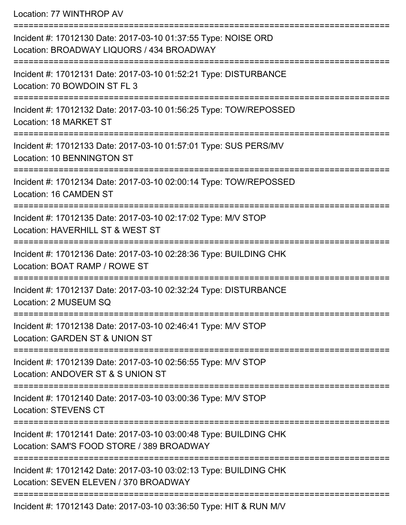Location: 77 WINTHROP AV

| Incident #: 17012130 Date: 2017-03-10 01:37:55 Type: NOISE ORD<br>Location: BROADWAY LIQUORS / 434 BROADWAY    |
|----------------------------------------------------------------------------------------------------------------|
| Incident #: 17012131 Date: 2017-03-10 01:52:21 Type: DISTURBANCE<br>Location: 70 BOWDOIN ST FL 3               |
| Incident #: 17012132 Date: 2017-03-10 01:56:25 Type: TOW/REPOSSED<br>Location: 18 MARKET ST                    |
| Incident #: 17012133 Date: 2017-03-10 01:57:01 Type: SUS PERS/MV<br>Location: 10 BENNINGTON ST                 |
| Incident #: 17012134 Date: 2017-03-10 02:00:14 Type: TOW/REPOSSED<br>Location: 16 CAMDEN ST                    |
| Incident #: 17012135 Date: 2017-03-10 02:17:02 Type: M/V STOP<br>Location: HAVERHILL ST & WEST ST              |
| Incident #: 17012136 Date: 2017-03-10 02:28:36 Type: BUILDING CHK<br>Location: BOAT RAMP / ROWE ST             |
| Incident #: 17012137 Date: 2017-03-10 02:32:24 Type: DISTURBANCE<br>Location: 2 MUSEUM SQ                      |
| Incident #: 17012138 Date: 2017-03-10 02:46:41 Type: M/V STOP<br>Location: GARDEN ST & UNION ST                |
| Incident #: 17012139 Date: 2017-03-10 02:56:55 Type: M/V STOP<br>Location: ANDOVER ST & S UNION ST             |
| Incident #: 17012140 Date: 2017-03-10 03:00:36 Type: M/V STOP<br><b>Location: STEVENS CT</b>                   |
| Incident #: 17012141 Date: 2017-03-10 03:00:48 Type: BUILDING CHK<br>Location: SAM'S FOOD STORE / 389 BROADWAY |
| Incident #: 17012142 Date: 2017-03-10 03:02:13 Type: BUILDING CHK<br>Location: SEVEN ELEVEN / 370 BROADWAY     |
| -------------------------------------<br>Incident #: 17012143 Date: 2017-03-10 03:36:50 Type: HIT & RUN M/V    |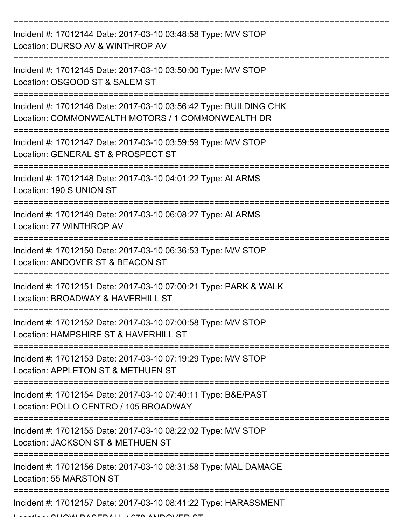| Incident #: 17012144 Date: 2017-03-10 03:48:58 Type: M/V STOP<br>Location: DURSO AV & WINTHROP AV                      |
|------------------------------------------------------------------------------------------------------------------------|
| Incident #: 17012145 Date: 2017-03-10 03:50:00 Type: M/V STOP<br>Location: OSGOOD ST & SALEM ST                        |
| Incident #: 17012146 Date: 2017-03-10 03:56:42 Type: BUILDING CHK<br>Location: COMMONWEALTH MOTORS / 1 COMMONWEALTH DR |
| Incident #: 17012147 Date: 2017-03-10 03:59:59 Type: M/V STOP<br>Location: GENERAL ST & PROSPECT ST                    |
| Incident #: 17012148 Date: 2017-03-10 04:01:22 Type: ALARMS<br>Location: 190 S UNION ST                                |
| Incident #: 17012149 Date: 2017-03-10 06:08:27 Type: ALARMS<br>Location: 77 WINTHROP AV                                |
| Incident #: 17012150 Date: 2017-03-10 06:36:53 Type: M/V STOP<br>Location: ANDOVER ST & BEACON ST                      |
| Incident #: 17012151 Date: 2017-03-10 07:00:21 Type: PARK & WALK<br>Location: BROADWAY & HAVERHILL ST                  |
| Incident #: 17012152 Date: 2017-03-10 07:00:58 Type: M/V STOP<br>Location: HAMPSHIRE ST & HAVERHILL ST                 |
| Incident #: 17012153 Date: 2017-03-10 07:19:29 Type: M/V STOP<br>Location: APPLETON ST & METHUEN ST                    |
| Incident #: 17012154 Date: 2017-03-10 07:40:11 Type: B&E/PAST<br>Location: POLLO CENTRO / 105 BROADWAY                 |
| Incident #: 17012155 Date: 2017-03-10 08:22:02 Type: M/V STOP<br>Location: JACKSON ST & METHUEN ST                     |
| Incident #: 17012156 Date: 2017-03-10 08:31:58 Type: MAL DAMAGE<br>Location: 55 MARSTON ST                             |
| Incident #: 17012157 Date: 2017-03-10 08:41:22 Type: HARASSMENT                                                        |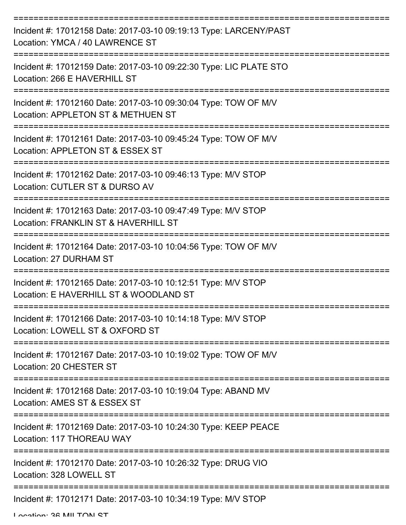| Incident #: 17012158 Date: 2017-03-10 09:19:13 Type: LARCENY/PAST<br>Location: YMCA / 40 LAWRENCE ST                   |
|------------------------------------------------------------------------------------------------------------------------|
| Incident #: 17012159 Date: 2017-03-10 09:22:30 Type: LIC PLATE STO<br>Location: 266 E HAVERHILL ST                     |
| Incident #: 17012160 Date: 2017-03-10 09:30:04 Type: TOW OF M/V<br>Location: APPLETON ST & METHUEN ST                  |
| Incident #: 17012161 Date: 2017-03-10 09:45:24 Type: TOW OF M/V<br>Location: APPLETON ST & ESSEX ST                    |
| Incident #: 17012162 Date: 2017-03-10 09:46:13 Type: M/V STOP<br>Location: CUTLER ST & DURSO AV<br>===============     |
| Incident #: 17012163 Date: 2017-03-10 09:47:49 Type: M/V STOP<br>Location: FRANKLIN ST & HAVERHILL ST                  |
| Incident #: 17012164 Date: 2017-03-10 10:04:56 Type: TOW OF M/V<br>Location: 27 DURHAM ST                              |
| ===========<br>Incident #: 17012165 Date: 2017-03-10 10:12:51 Type: M/V STOP<br>Location: E HAVERHILL ST & WOODLAND ST |
| Incident #: 17012166 Date: 2017-03-10 10:14:18 Type: M/V STOP<br>Location: LOWELL ST & OXFORD ST                       |
| Incident #: 17012167 Date: 2017-03-10 10:19:02 Type: TOW OF M/V<br>Location: 20 CHESTER ST                             |
| Incident #: 17012168 Date: 2017-03-10 10:19:04 Type: ABAND MV<br>Location: AMES ST & ESSEX ST                          |
| Incident #: 17012169 Date: 2017-03-10 10:24:30 Type: KEEP PEACE<br>Location: 117 THOREAU WAY                           |
| Incident #: 17012170 Date: 2017-03-10 10:26:32 Type: DRUG VIO<br>Location: 328 LOWELL ST                               |
| Incident #: 17012171 Date: 2017-03-10 10:34:19 Type: M/V STOP                                                          |

Location: 26 MILTON ST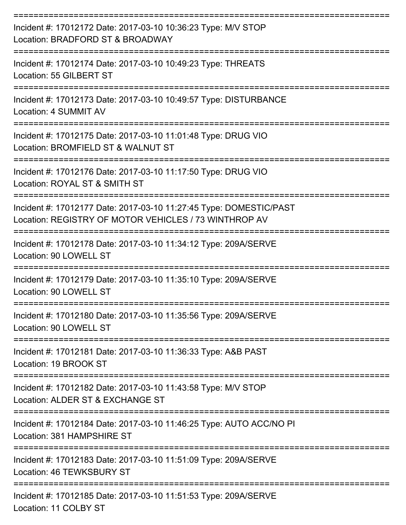| Incident #: 17012172 Date: 2017-03-10 10:36:23 Type: M/V STOP<br>Location: BRADFORD ST & BROADWAY                           |
|-----------------------------------------------------------------------------------------------------------------------------|
| Incident #: 17012174 Date: 2017-03-10 10:49:23 Type: THREATS<br>Location: 55 GILBERT ST                                     |
| Incident #: 17012173 Date: 2017-03-10 10:49:57 Type: DISTURBANCE<br>Location: 4 SUMMIT AV                                   |
| Incident #: 17012175 Date: 2017-03-10 11:01:48 Type: DRUG VIO<br>Location: BROMFIELD ST & WALNUT ST                         |
| Incident #: 17012176 Date: 2017-03-10 11:17:50 Type: DRUG VIO<br>Location: ROYAL ST & SMITH ST                              |
| Incident #: 17012177 Date: 2017-03-10 11:27:45 Type: DOMESTIC/PAST<br>Location: REGISTRY OF MOTOR VEHICLES / 73 WINTHROP AV |
| Incident #: 17012178 Date: 2017-03-10 11:34:12 Type: 209A/SERVE<br>Location: 90 LOWELL ST                                   |
| Incident #: 17012179 Date: 2017-03-10 11:35:10 Type: 209A/SERVE<br>Location: 90 LOWELL ST                                   |
| Incident #: 17012180 Date: 2017-03-10 11:35:56 Type: 209A/SERVE<br>Location: 90 LOWELL ST                                   |
| -----------------<br>Incident #: 17012181 Date: 2017-03-10 11:36:33 Type: A&B PAST<br>Location: 19 BROOK ST                 |
| Incident #: 17012182 Date: 2017-03-10 11:43:58 Type: M/V STOP<br>Location: ALDER ST & EXCHANGE ST                           |
| Incident #: 17012184 Date: 2017-03-10 11:46:25 Type: AUTO ACC/NO PI<br>Location: 381 HAMPSHIRE ST                           |
| Incident #: 17012183 Date: 2017-03-10 11:51:09 Type: 209A/SERVE<br>Location: 46 TEWKSBURY ST                                |
| Incident #: 17012185 Date: 2017-03-10 11:51:53 Type: 209A/SERVE<br>Location: 11 COLBY ST                                    |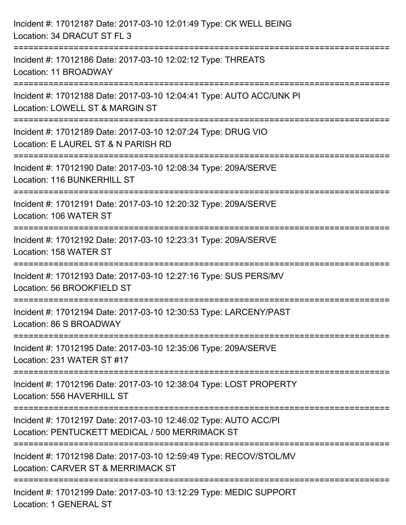| Incident #: 17012187 Date: 2017-03-10 12:01:49 Type: CK WELL BEING<br>Location: 34 DRACUT ST FL 3                   |
|---------------------------------------------------------------------------------------------------------------------|
| Incident #: 17012186 Date: 2017-03-10 12:02:12 Type: THREATS<br>Location: 11 BROADWAY                               |
| Incident #: 17012188 Date: 2017-03-10 12:04:41 Type: AUTO ACC/UNK PI<br>Location: LOWELL ST & MARGIN ST             |
| Incident #: 17012189 Date: 2017-03-10 12:07:24 Type: DRUG VIO<br>Location: E LAUREL ST & N PARISH RD                |
| Incident #: 17012190 Date: 2017-03-10 12:08:34 Type: 209A/SERVE<br>Location: 116 BUNKERHILL ST                      |
| Incident #: 17012191 Date: 2017-03-10 12:20:32 Type: 209A/SERVE<br>Location: 106 WATER ST                           |
| Incident #: 17012192 Date: 2017-03-10 12:23:31 Type: 209A/SERVE<br>Location: 158 WATER ST                           |
| Incident #: 17012193 Date: 2017-03-10 12:27:16 Type: SUS PERS/MV<br>Location: 56 BROOKFIELD ST                      |
| Incident #: 17012194 Date: 2017-03-10 12:30:53 Type: LARCENY/PAST<br>Location: 86 S BROADWAY                        |
| Incident #: 17012195 Date: 2017-03-10 12:35:06 Type: 209A/SERVE<br>Location: 231 WATER ST #17                       |
| Incident #: 17012196 Date: 2017-03-10 12:38:04 Type: LOST PROPERTY<br>Location: 556 HAVERHILL ST                    |
| Incident #: 17012197 Date: 2017-03-10 12:46:02 Type: AUTO ACC/PI<br>Location: PENTUCKETT MEDICAL / 500 MERRIMACK ST |
| Incident #: 17012198 Date: 2017-03-10 12:59:49 Type: RECOV/STOL/MV<br>Location: CARVER ST & MERRIMACK ST            |
| Incident #: 17012199 Date: 2017-03-10 13:12:29 Type: MEDIC SUPPORT<br>Location: 1 GENERAL ST                        |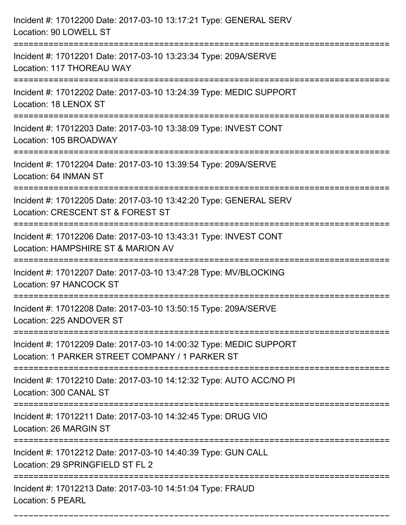| Incident #: 17012200 Date: 2017-03-10 13:17:21 Type: GENERAL SERV<br>Location: 90 LOWELL ST                                      |
|----------------------------------------------------------------------------------------------------------------------------------|
| Incident #: 17012201 Date: 2017-03-10 13:23:34 Type: 209A/SERVE<br>Location: 117 THOREAU WAY                                     |
| Incident #: 17012202 Date: 2017-03-10 13:24:39 Type: MEDIC SUPPORT<br>Location: 18 LENOX ST                                      |
| Incident #: 17012203 Date: 2017-03-10 13:38:09 Type: INVEST CONT<br>Location: 105 BROADWAY                                       |
| Incident #: 17012204 Date: 2017-03-10 13:39:54 Type: 209A/SERVE<br>Location: 64 INMAN ST                                         |
| Incident #: 17012205 Date: 2017-03-10 13:42:20 Type: GENERAL SERV<br>Location: CRESCENT ST & FOREST ST<br>====================== |
| Incident #: 17012206 Date: 2017-03-10 13:43:31 Type: INVEST CONT<br>Location: HAMPSHIRE ST & MARION AV                           |
| Incident #: 17012207 Date: 2017-03-10 13:47:28 Type: MV/BLOCKING<br>Location: 97 HANCOCK ST                                      |
| Incident #: 17012208 Date: 2017-03-10 13:50:15 Type: 209A/SERVE<br>Location: 225 ANDOVER ST                                      |
| Incident #: 17012209 Date: 2017-03-10 14:00:32 Type: MEDIC SUPPORT<br>Location: 1 PARKER STREET COMPANY / 1 PARKER ST            |
| Incident #: 17012210 Date: 2017-03-10 14:12:32 Type: AUTO ACC/NO PI<br>Location: 300 CANAL ST                                    |
| Incident #: 17012211 Date: 2017-03-10 14:32:45 Type: DRUG VIO<br>Location: 26 MARGIN ST                                          |
| Incident #: 17012212 Date: 2017-03-10 14:40:39 Type: GUN CALL<br>Location: 29 SPRINGFIELD ST FL 2                                |
| Incident #: 17012213 Date: 2017-03-10 14:51:04 Type: FRAUD<br>Location: 5 PEARL                                                  |

===========================================================================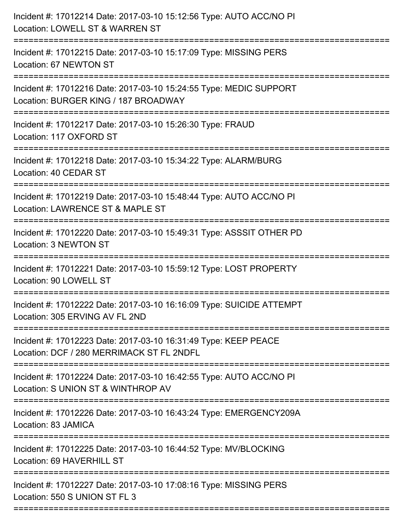| Incident #: 17012214 Date: 2017-03-10 15:12:56 Type: AUTO ACC/NO PI<br>Location: LOWELL ST & WARREN ST                           |
|----------------------------------------------------------------------------------------------------------------------------------|
| Incident #: 17012215 Date: 2017-03-10 15:17:09 Type: MISSING PERS<br>Location: 67 NEWTON ST                                      |
| Incident #: 17012216 Date: 2017-03-10 15:24:55 Type: MEDIC SUPPORT<br>Location: BURGER KING / 187 BROADWAY                       |
| Incident #: 17012217 Date: 2017-03-10 15:26:30 Type: FRAUD<br>Location: 117 OXFORD ST                                            |
| Incident #: 17012218 Date: 2017-03-10 15:34:22 Type: ALARM/BURG<br>Location: 40 CEDAR ST                                         |
| Incident #: 17012219 Date: 2017-03-10 15:48:44 Type: AUTO ACC/NO PI<br>Location: LAWRENCE ST & MAPLE ST                          |
| :=====================<br>Incident #: 17012220 Date: 2017-03-10 15:49:31 Type: ASSSIT OTHER PD<br>Location: 3 NEWTON ST          |
| Incident #: 17012221 Date: 2017-03-10 15:59:12 Type: LOST PROPERTY<br>Location: 90 LOWELL ST                                     |
| Incident #: 17012222 Date: 2017-03-10 16:16:09 Type: SUICIDE ATTEMPT<br>Location: 305 ERVING AV FL 2ND                           |
| Incident #: 17012223 Date: 2017-03-10 16:31:49 Type: KEEP PEACE<br>Location: DCF / 280 MERRIMACK ST FL 2NDFL                     |
| Incident #: 17012224 Date: 2017-03-10 16:42:55 Type: AUTO ACC/NO PI<br>Location: S UNION ST & WINTHROP AV                        |
| ===================================<br>Incident #: 17012226 Date: 2017-03-10 16:43:24 Type: EMERGENCY209A<br>Location: 83 JAMICA |
| Incident #: 17012225 Date: 2017-03-10 16:44:52 Type: MV/BLOCKING<br>Location: 69 HAVERHILL ST                                    |
| Incident #: 17012227 Date: 2017-03-10 17:08:16 Type: MISSING PERS<br>Location: 550 S UNION ST FL 3                               |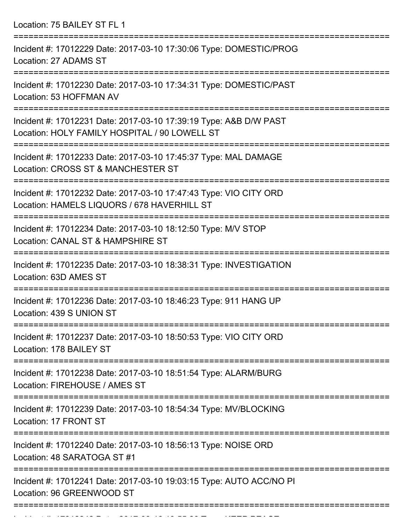Location: 75 BAILEY ST FL 1 =========================================================================== Incident #: 17012229 Date: 2017-03-10 17:30:06 Type: DOMESTIC/PROG Location: 27 ADAMS ST =========================================================================== Incident #: 17012230 Date: 2017-03-10 17:34:31 Type: DOMESTIC/PAST Location: 53 HOFFMAN AV =========================================================================== Incident #: 17012231 Date: 2017-03-10 17:39:19 Type: A&B D/W PAST Location: HOLY FAMILY HOSPITAL / 90 LOWELL ST =========================================================================== Incident #: 17012233 Date: 2017-03-10 17:45:37 Type: MAL DAMAGE Location: CROSS ST & MANCHESTER ST =========================================================================== Incident #: 17012232 Date: 2017-03-10 17:47:43 Type: VIO CITY ORD Location: HAMELS LIQUORS / 678 HAVERHILL ST =========================================================================== Incident #: 17012234 Date: 2017-03-10 18:12:50 Type: M/V STOP Location: CANAL ST & HAMPSHIRE ST =========================================================================== Incident #: 17012235 Date: 2017-03-10 18:38:31 Type: INVESTIGATION Location: 63D AMES ST =========================================================================== Incident #: 17012236 Date: 2017-03-10 18:46:23 Type: 911 HANG UP Location: 439 S UNION ST =========================================================================== Incident #: 17012237 Date: 2017-03-10 18:50:53 Type: VIO CITY ORD Location: 178 BAILEY ST =========================================================================== Incident #: 17012238 Date: 2017-03-10 18:51:54 Type: ALARM/BURG Location: FIREHOUSE / AMES ST =========================================================================== Incident #: 17012239 Date: 2017-03-10 18:54:34 Type: MV/BLOCKING Location: 17 FRONT ST =========================================================================== Incident #: 17012240 Date: 2017-03-10 18:56:13 Type: NOISE ORD Location: 48 SARATOGA ST #1 =========================================================================== Incident #: 17012241 Date: 2017-03-10 19:03:15 Type: AUTO ACC/NO PI Location: 96 GREENWOOD ST ===========================================================================

Incident #: 17012242 Date: 2017 03 10 19:55:28 Type: KEEP PEACE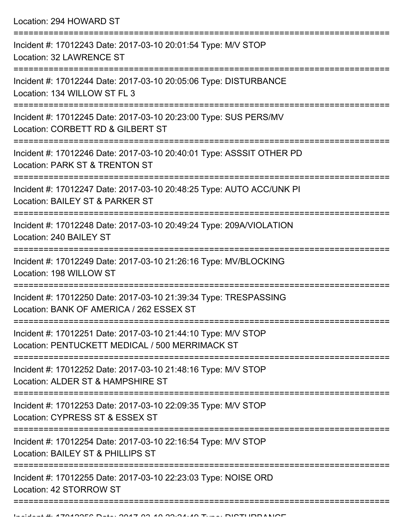Location: 294 HOWARD ST =========================================================================== Incident #: 17012243 Date: 2017-03-10 20:01:54 Type: M/V STOP Location: 32 LAWRENCE ST =========================================================================== Incident #: 17012244 Date: 2017-03-10 20:05:06 Type: DISTURBANCE Location: 134 WILLOW ST FL 3 =========================================================================== Incident #: 17012245 Date: 2017-03-10 20:23:00 Type: SUS PERS/MV Location: CORBETT RD & GILBERT ST =========================================================================== Incident #: 17012246 Date: 2017-03-10 20:40:01 Type: ASSSIT OTHER PD Location: PARK ST & TRENTON ST =========================================================================== Incident #: 17012247 Date: 2017-03-10 20:48:25 Type: AUTO ACC/UNK PI Location: BAILEY ST & PARKER ST =========================================================================== Incident #: 17012248 Date: 2017-03-10 20:49:24 Type: 209A/VIOLATION Location: 240 BAILEY ST =========================================================================== Incident #: 17012249 Date: 2017-03-10 21:26:16 Type: MV/BLOCKING Location: 198 WILLOW ST =========================================================================== Incident #: 17012250 Date: 2017-03-10 21:39:34 Type: TRESPASSING Location: BANK OF AMERICA / 262 ESSEX ST =========================================================================== Incident #: 17012251 Date: 2017-03-10 21:44:10 Type: M/V STOP Location: PENTUCKETT MEDICAL / 500 MERRIMACK ST =========================================================================== Incident #: 17012252 Date: 2017-03-10 21:48:16 Type: M/V STOP Location: ALDER ST & HAMPSHIRE ST =========================================================================== Incident #: 17012253 Date: 2017-03-10 22:09:35 Type: M/V STOP Location: CYPRESS ST & ESSEX ST =========================================================================== Incident #: 17012254 Date: 2017-03-10 22:16:54 Type: M/V STOP Location: BAILEY ST & PHILLIPS ST =========================================================================== Incident #: 17012255 Date: 2017-03-10 22:23:03 Type: NOISE ORD Location: 42 STORROW ST

===========================================================================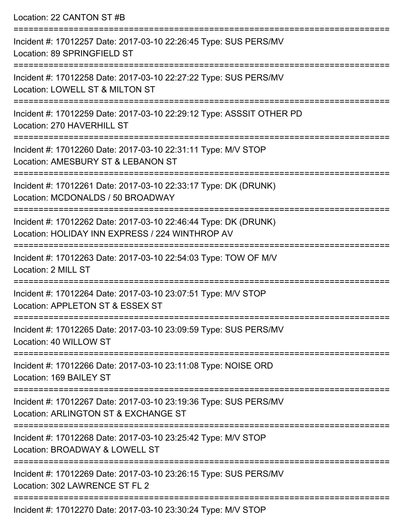Location: 22 CANTON ST #B

=========================================================================== Incident #: 17012257 Date: 2017-03-10 22:26:45 Type: SUS PERS/MV Location: 89 SPRINGFIELD ST =========================================================================== Incident #: 17012258 Date: 2017-03-10 22:27:22 Type: SUS PERS/MV Location: LOWELL ST & MILTON ST =========================================================================== Incident #: 17012259 Date: 2017-03-10 22:29:12 Type: ASSSIT OTHER PD Location: 270 HAVERHILL ST =========================================================================== Incident #: 17012260 Date: 2017-03-10 22:31:11 Type: M/V STOP Location: AMESBURY ST & LEBANON ST =========================================================================== Incident #: 17012261 Date: 2017-03-10 22:33:17 Type: DK (DRUNK) Location: MCDONALDS / 50 BROADWAY =========================================================================== Incident #: 17012262 Date: 2017-03-10 22:46:44 Type: DK (DRUNK) Location: HOLIDAY INN EXPRESS / 224 WINTHROP AV =========================================================================== Incident #: 17012263 Date: 2017-03-10 22:54:03 Type: TOW OF M/V Location: 2 MILL ST =========================================================================== Incident #: 17012264 Date: 2017-03-10 23:07:51 Type: M/V STOP Location: APPLETON ST & ESSEX ST =========================================================================== Incident #: 17012265 Date: 2017-03-10 23:09:59 Type: SUS PERS/MV Location: 40 WILLOW ST =========================================================================== Incident #: 17012266 Date: 2017-03-10 23:11:08 Type: NOISE ORD Location: 169 BAILEY ST =========================================================================== Incident #: 17012267 Date: 2017-03-10 23:19:36 Type: SUS PERS/MV Location: ARLINGTON ST & EXCHANGE ST =========================================================================== Incident #: 17012268 Date: 2017-03-10 23:25:42 Type: M/V STOP Location: BROADWAY & LOWELL ST =========================================================================== Incident #: 17012269 Date: 2017-03-10 23:26:15 Type: SUS PERS/MV Location: 302 LAWRENCE ST FL 2 =========================================================================== Incident #: 17012270 Date: 2017-03-10 23:30:24 Type: M/V STOP